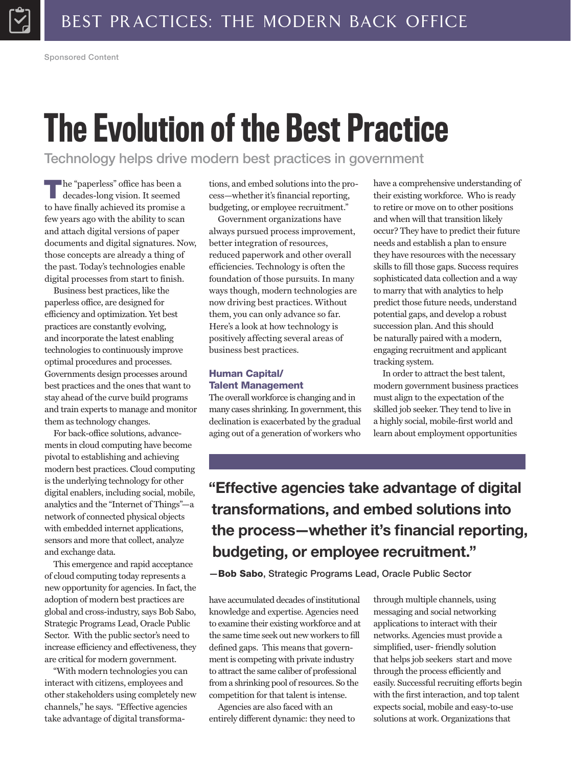# The Evolution of the Best Practice

Technology helps drive modern best practices in government

The "paperless" office has been a decades-long vision. It seemed to have finally achieved its promise a few years ago with the ability to scan and attach digital versions of paper documents and digital signatures. Now, those concepts are already a thing of the past. Today's technologies enable digital processes from start to finish.

Business best practices, like the paperless office, are designed for efficiency and optimization. Yet best practices are constantly evolving, and incorporate the latest enabling technologies to continuously improve optimal procedures and processes. Governments design processes around best practices and the ones that want to stay ahead of the curve build programs and train experts to manage and monitor them as technology changes.

For back-office solutions, advancements in cloud computing have become pivotal to establishing and achieving modern best practices. Cloud computing is the underlying technology for other digital enablers, including social, mobile, analytics and the "Internet of Things"—a network of connected physical objects with embedded internet applications, sensors and more that collect, analyze and exchange data.

This emergence and rapid acceptance of cloud computing today represents a new opportunity for agencies. In fact, the adoption of modern best practices are global and cross-industry, says Bob Sabo, Strategic Programs Lead, Oracle Public Sector. With the public sector's need to increase efficiency and effectiveness, they are critical for modern government.

"With modern technologies you can interact with citizens, employees and other stakeholders using completely new channels," he says. "Effective agencies take advantage of digital transformations, and embed solutions into the process—whether it's financial reporting, budgeting, or employee recruitment."

Government organizations have always pursued process improvement, better integration of resources, reduced paperwork and other overall efficiencies. Technology is often the foundation of those pursuits. In many ways though, modern technologies are now driving best practices. Without them, you can only advance so far. Here's a look at how technology is positively affecting several areas of business best practices.

#### Human Capital/ Talent Management

The overall workforce is changing and in many cases shrinking. In government, this declination is exacerbated by the gradual aging out of a generation of workers who

have a comprehensive understanding of their existing workforce. Who is ready to retire or move on to other positions and when will that transition likely occur? They have to predict their future needs and establish a plan to ensure they have resources with the necessary skills to fill those gaps. Success requires sophisticated data collection and a way to marry that with analytics to help predict those future needs, understand potential gaps, and develop a robust succession plan. And this should be naturally paired with a modern, engaging recruitment and applicant tracking system.

In order to attract the best talent, modern government business practices must align to the expectation of the skilled job seeker. They tend to live in a highly social, mobile-first world and learn about employment opportunities

### "Effective agencies take advantage of digital transformations, and embed solutions into the process—whether it's financial reporting, budgeting, or employee recruitment."

—Bob Sabo, Strategic Programs Lead, Oracle Public Sector

have accumulated decades of institutional knowledge and expertise. Agencies need to examine their existing workforce and at the same time seek out new workers to fill defined gaps. This means that government is competing with private industry to attract the same caliber of professional from a shrinking pool of resources. So the competition for that talent is intense.

Agencies are also faced with an entirely different dynamic: they need to through multiple channels, using messaging and social networking applications to interact with their networks. Agencies must provide a simplified, user- friendly solution that helps job seekers start and move through the process efficiently and easily. Successful recruiting efforts begin with the first interaction, and top talent expects social, mobile and easy-to-use solutions at work. Organizations that